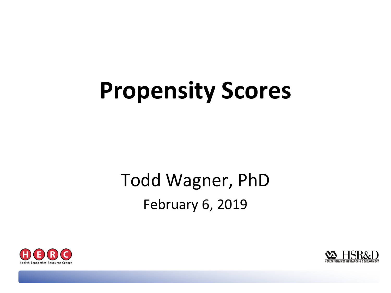# **Propensity Scores**

### Todd Wagner, PhD February 6, 2019



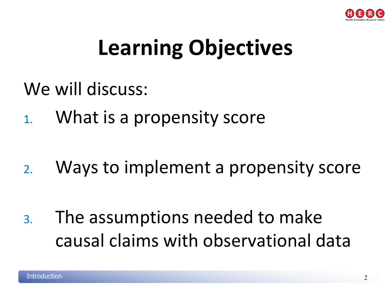

## **Learning Objectives**

- We will discuss:
- 1. What is a propensity score

2. Ways to implement a propensity score

3. The assumptions needed to make causal claims with observational data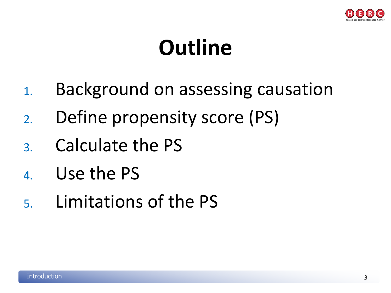

## **Outline**

- 1. Background on assessing causation
- 2. Define propensity score (PS)
- 3. Calculate the PS
- 4. Use the PS
- 5. Limitations of the PS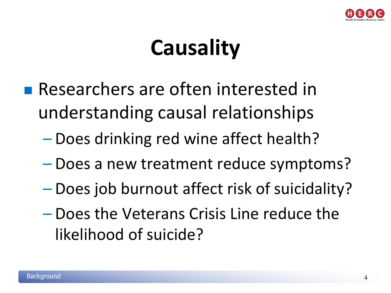

## **Causality**

- **Researchers are often interested in** understanding causal relationships
	- Does drinking red wine affect health?
	- Does a new treatment reduce symptoms?
	- Does job burnout affect risk of suicidality?
	- Does the Veterans Crisis Line reduce the likelihood of suicide?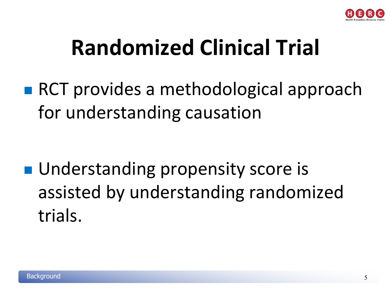

## **Randomized Clinical Trial**

■ RCT provides a methodological approach for understanding causation

**Understanding propensity score is** assisted by understanding randomized trials.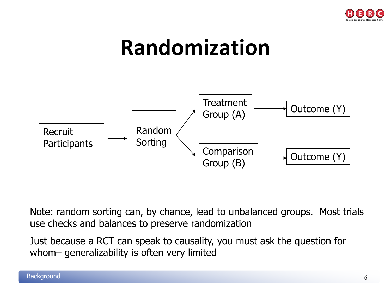

## **Randomization**



Note: random sorting can, by chance, lead to unbalanced groups. Most trials use checks and balances to preserve randomization

Just because a RCT can speak to causality, you must ask the question for whom– generalizability is often very limited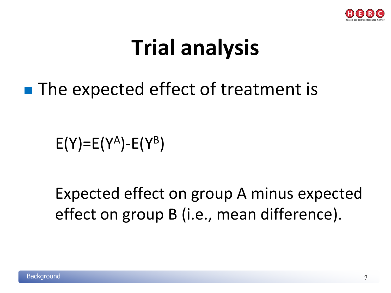

## **Trial analysis**

### ■ The expected effect of treatment is

 $E(Y)=E(Y^A)-E(Y^B)$ 

Expected effect on group A minus expected effect on group B (i.e., mean difference).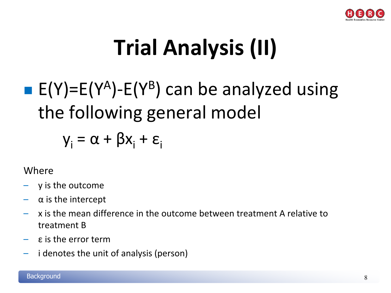

# **Trial Analysis (II)**

## E(Y)=E(Y<sup>A</sup>)-E(Y<sup>B</sup>) can be analyzed using the following general model

 $y_i = \alpha + \beta x_i + \varepsilon_i$ 

#### Where

- y is the outcome
- $\alpha$  is the intercept
- x is the mean difference in the outcome between treatment A relative to treatment B
- ε is the error term
- i denotes the unit of analysis (person)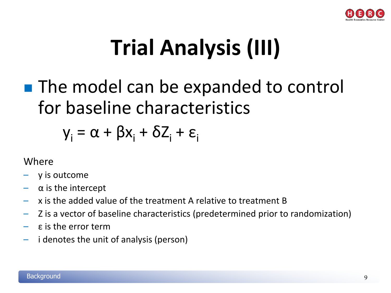

# **Trial Analysis (III)**

### **The model can be expanded to control** for baseline characteristics

### $y_i = \alpha + \beta x_i + \delta Z_i + \varepsilon_i$

#### Where

- y is outcome
- $\alpha$  is the intercept
- x is the added value of the treatment A relative to treatment B
- Z is a vector of baseline characteristics (predetermined prior to randomization)
- ε is the error term
- i denotes the unit of analysis (person)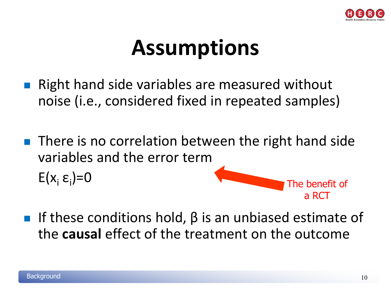

## **Assumptions**

- Right hand side variables are measured without noise (i.e., considered fixed in repeated samples)
- $\blacksquare$  There is no correlation between the right hand side variables and the error term  $E(x_i \varepsilon_i)=0$ )=0 The benefit of
- If these conditions hold,  $\beta$  is an unbiased estimate of the **causal** effect of the treatment on the outcome

a RCT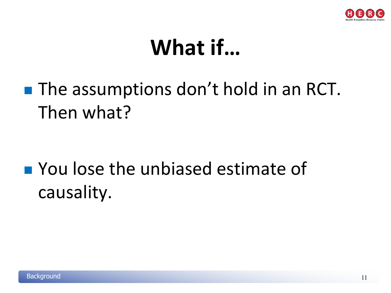

## **What if…**

### **The assumptions don't hold in an RCT.** Then what?

### **Noulose the unbiased estimate of** causality.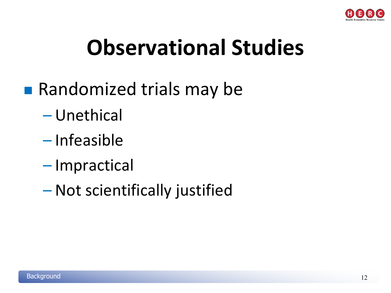

## **Observational Studies**

- **Randomized trials may be** 
	- Unethical
	- Infeasible
	- Impractical
	- Not scientifically justified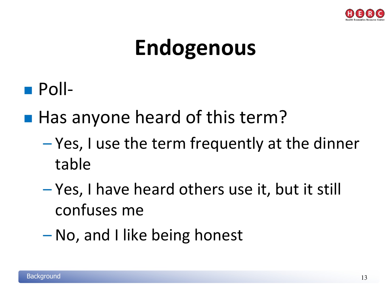

## **Endogenous**

- Poll-
- Has anyone heard of this term?
	- Yes, I use the term frequently at the dinner table
	- Yes, I have heard others use it, but it still confuses me
	- No, and I like being honest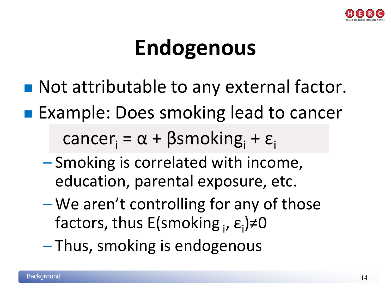

## **Endogenous**

- Not attributable to any external factor.
- **Example: Does smoking lead to cancer**

cancer<sub>i</sub> =  $\alpha$  + βsmoking<sub>i</sub> +  $\varepsilon$ <sub>i</sub>

- Smoking is correlated with income, education, parental exposure, etc.
- We aren't controlling for any of those factors, thus E(smoking <sub>i</sub>, ε<sub>i</sub>)≠0
- Thus, smoking is endogenous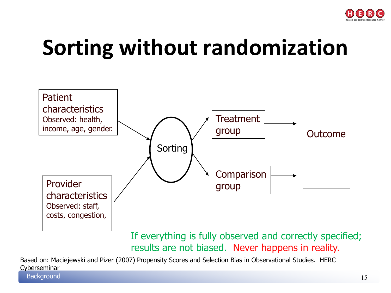

## **Sorting without randomization**



If everything is fully observed and correctly specified; results are not biased. Never happens in reality.

Based on: Maciejewski and Pizer (2007) Propensity Scores and Selection Bias in Observational Studies. HERC Cyberseminar

**Background**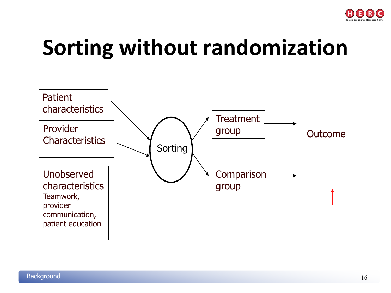

## **Sorting without randomization**

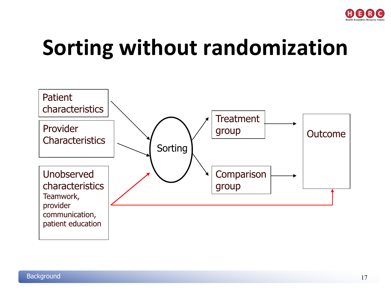

## **Sorting without randomization**

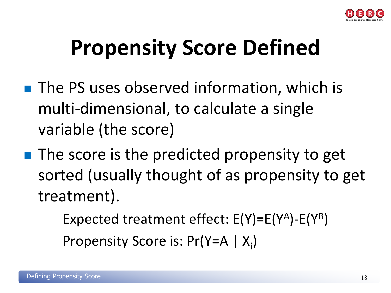

## **Propensity Score Defined**

- The PS uses observed information, which is multi-dimensional, to calculate a single variable (the score)
- **The score is the predicted propensity to get** sorted (usually thought of as propensity to get treatment).

Expected treatment effect:  $E(Y)=E(Y^A)-E(Y^B)$ 

Propensity Score is:  $Pr(Y = A | X_i)$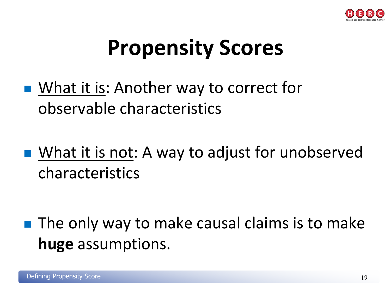

## **Propensity Scores**

- What it is: Another way to correct for observable characteristics
- What it is not: A way to adjust for unobserved characteristics

 $\blacksquare$  The only way to make causal claims is to make **huge** assumptions.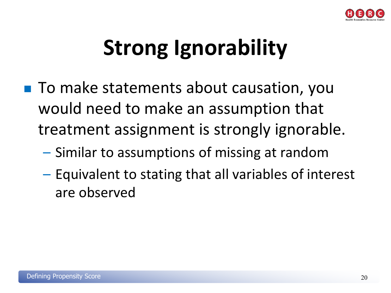

## **Strong Ignorability**

- To make statements about causation, you would need to make an assumption that treatment assignment is strongly ignorable.
	- Similar to assumptions of missing at random
	- Equivalent to stating that all variables of interest are observed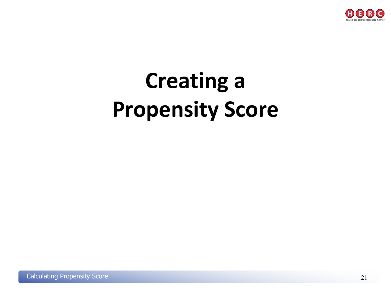

# **Creating a Propensity Score**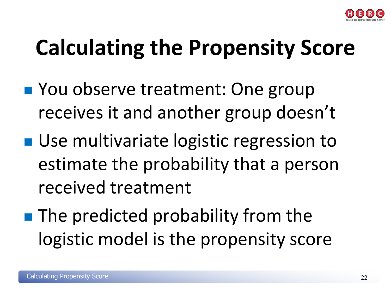

## **Calculating the Propensity Score**

- **Nou observe treatment: One group** receives it and another group doesn't
- Use multivariate logistic regression to estimate the probability that a person received treatment
- **The predicted probability from the** logistic model is the propensity score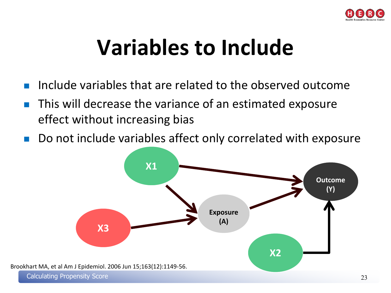

## **Variables to Include**

- Include variables that are related to the observed outcome
- This will decrease the variance of an estimated exposure effect without increasing bias
- Do not include variables affect only correlated with exposure

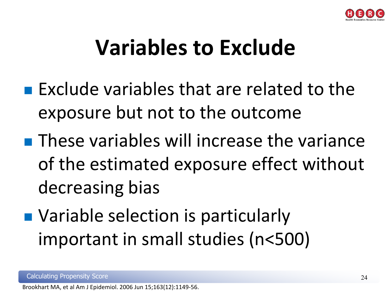

## **Variables to Exclude**

- $\blacksquare$  Exclude variables that are related to the exposure but not to the outcome
- **These variables will increase the variance** of the estimated exposure effect without decreasing bias
- Variable selection is particularly important in small studies (n<500)

Brookhart MA, et al Am J Epidemiol. 2006 Jun 15;163(12):1149-56.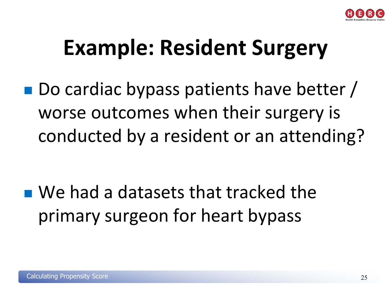

## **Example: Resident Surgery**

■ Do cardiac bypass patients have better / worse outcomes when their surgery is conducted by a resident or an attending?

■ We had a datasets that tracked the primary surgeon for heart bypass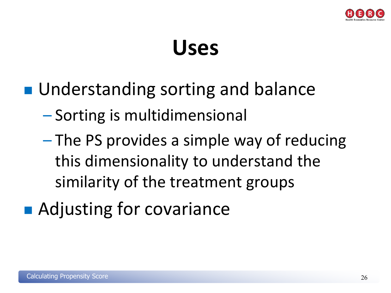

## **Uses**

- Understanding sorting and balance
	- Sorting is multidimensional
	- The PS provides a simple way of reducing this dimensionality to understand the similarity of the treatment groups
- Adjusting for covariance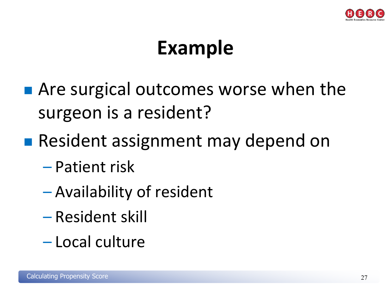

## **Example**

- **Are surgical outcomes worse when the** surgeon is a resident?
- **Resident assignment may depend on** 
	- Patient risk
	- Availability of resident
	- Resident skill
	- Local culture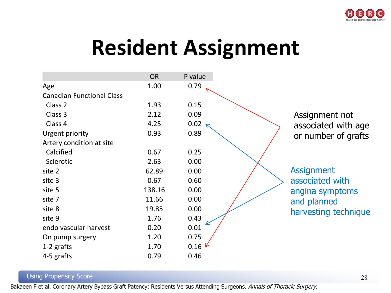

## **Resident Assignment**



#### Using Propensity Score

Bakaeen F et al. Coronary Artery Bypass Graft Patency: Residents Versus Attending Surgeons. Annals of Thoracic Surgery.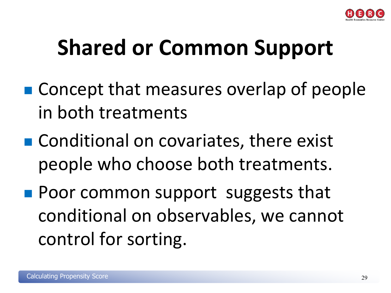

## **Shared or Common Support**

- Concept that measures overlap of people in both treatments
- Conditional on covariates, there exist people who choose both treatments.
- **Poor common support suggests that** conditional on observables, we cannot control for sorting.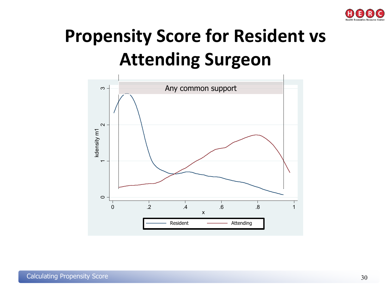

### **Propensity Score for Resident vs Attending Surgeon**

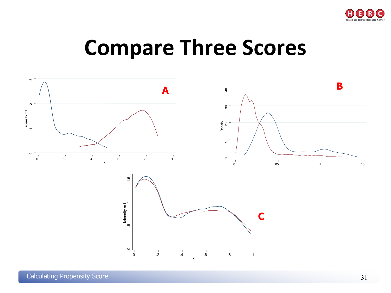

### **Compare Three Scores**

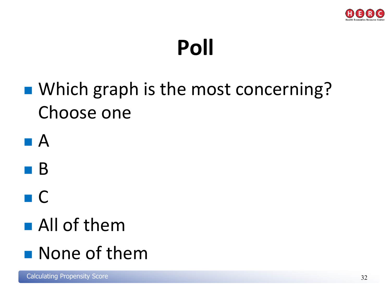

## **Poll**

### ■ Which graph is the most concerning? Choose one







## All of them

### **None of them**

Calculating Propensity Score 32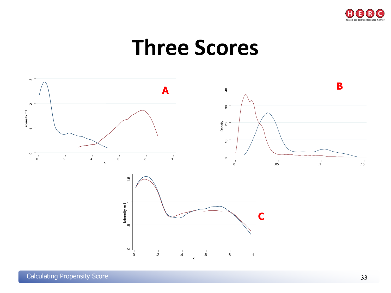

### **Three Scores**

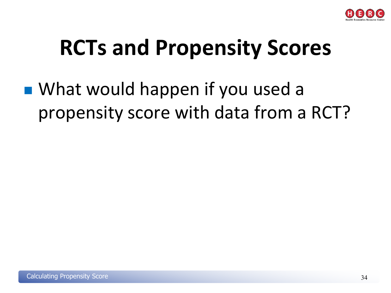

## **RCTs and Propensity Scores**

■ What would happen if you used a propensity score with data from a RCT?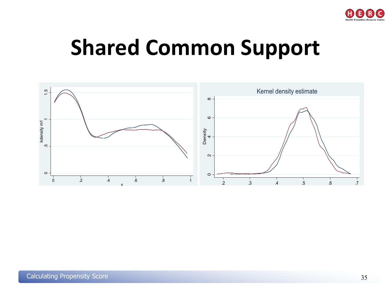

## **Shared Common Support**

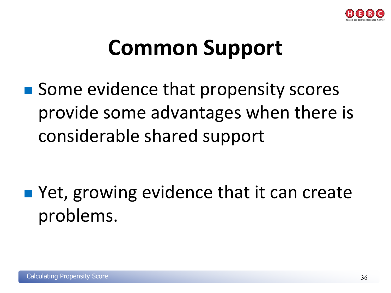

## **Common Support**

■ Some evidence that propensity scores provide some advantages when there is considerable shared support

■ Yet, growing evidence that it can create problems.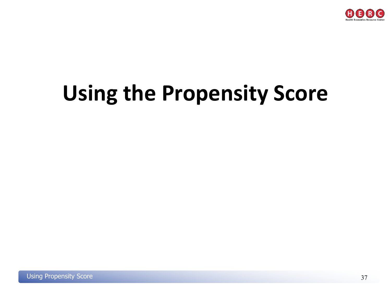

## **Using the Propensity Score**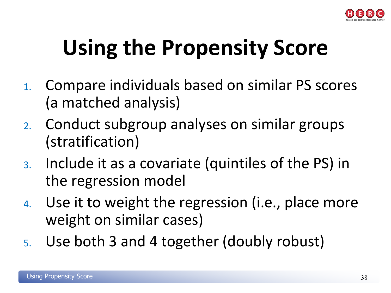

# **Using the Propensity Score**

- 1. Compare individuals based on similar PS scores (a matched analysis)
- 2. Conduct subgroup analyses on similar groups (stratification)
- 3. Include it as a covariate (quintiles of the PS) in the regression model
- 4. Use it to weight the regression (i.e., place more weight on similar cases)
- 5. Use both 3 and 4 together (doubly robust)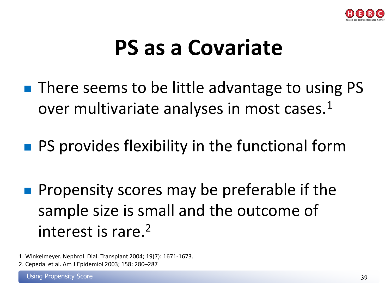

## **PS as a Covariate**

- There seems to be little advantage to using PS over multivariate analyses in most cases.<sup>1</sup>
- **PS provides flexibility in the functional form**
- **Propensity scores may be preferable if the** sample size is small and the outcome of interest is rare.2
- 1. Winkelmeyer. Nephrol. Dial. Transplant 2004; 19(7): 1671-1673.
- 2. Cepeda et al. Am J Epidemiol 2003; 158: 280–287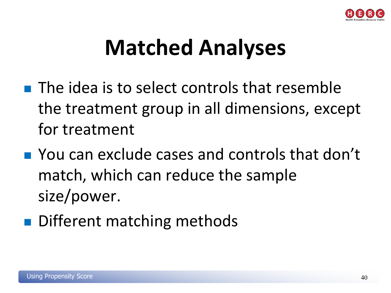

## **Matched Analyses**

- $\blacksquare$  The idea is to select controls that resemble the treatment group in all dimensions, except for treatment
- **Nou can exclude cases and controls that don't** match, which can reduce the sample size/power.
- Different matching methods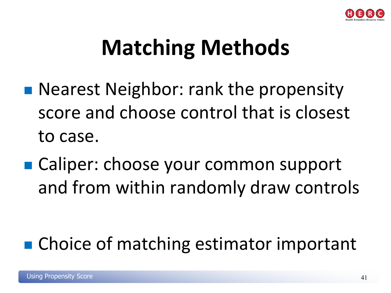

## **Matching Methods**

- **Nearest Neighbor: rank the propensity** score and choose control that is closest to case.
- Caliper: choose your common support and from within randomly draw controls

### ■ Choice of matching estimator important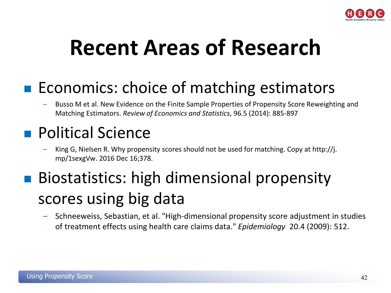

## **Recent Areas of Research**

### **EXECOLOMICS:** choice of matching estimators

– Busso M et al. New Evidence on the Finite Sample Properties of Propensity Score Reweighting and Matching Estimators. *Review of Economics and Statistics*, 96.5 (2014): 885-897

### **Political Science**

– King G, Nielsen R. Why propensity scores should not be used for matching. Copy at http://j. mp/1sexgVw. 2016 Dec 16;378.

### Biostatistics: high dimensional propensity scores using big data

– Schneeweiss, Sebastian, et al. "High-dimensional propensity score adjustment in studies of treatment effects using health care claims data." *Epidemiology* 20.4 (2009): 512.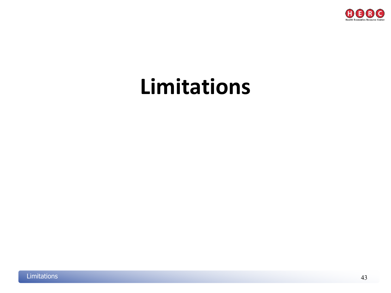

## **Limitations**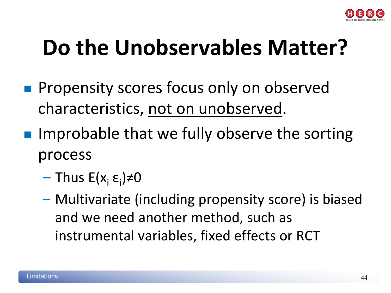

## **Do the Unobservables Matter?**

- **Propensity scores focus only on observed** characteristics, not on unobserved.
- **Improbable that we fully observe the sorting** process
	- Thus E(x<sub>i</sub> ε<sub>i</sub>)≠0
	- Multivariate (including propensity score) is biased and we need another method, such as instrumental variables, fixed effects or RCT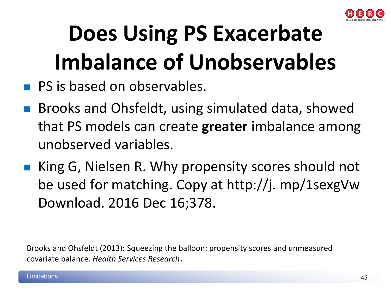

# **Does Using PS Exacerbate Imbalance of Unobservables**

- **PS is based on observables.**
- **Brooks and Ohsfeldt, using simulated data, showed** that PS models can create **greater** imbalance among unobserved variables.
- King G, Nielsen R. Why propensity scores should not be used for matching. Copy at http://j. mp/1sexgVw Download. 2016 Dec 16;378.

Brooks and Ohsfeldt (2013): Squeezing the balloon: propensity scores and unmeasured covariate balance. *Health Services Research*.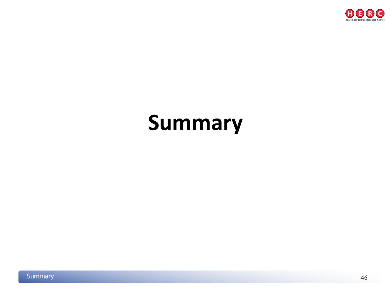

## **Summary**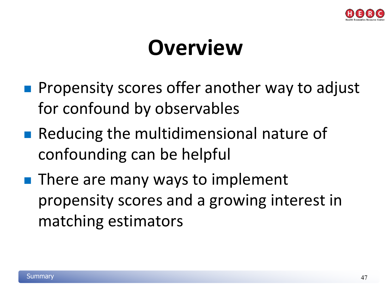

## **Overview**

- **Propensity scores offer another way to adjust** for confound by observables
- Reducing the multidimensional nature of confounding can be helpful
- $\blacksquare$  There are many ways to implement propensity scores and a growing interest in matching estimators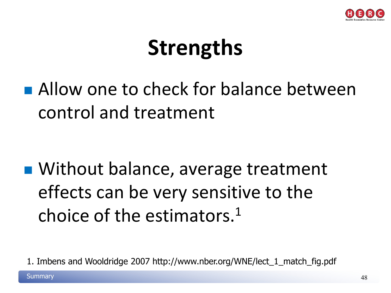

## **Strengths**

**Allow one to check for balance between** control and treatment

■ Without balance, average treatment effects can be very sensitive to the choice of the estimators.1

1. Imbens and Wooldridge 2007 http://www.nber.org/WNE/lect\_1\_match\_fig.pdf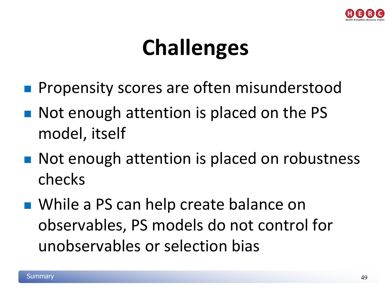

## **Challenges**

- Propensity scores are often misunderstood
- Not enough attention is placed on the PS model, itself
- Not enough attention is placed on robustness checks
- While a PS can help create balance on observables, PS models do not control for unobservables or selection bias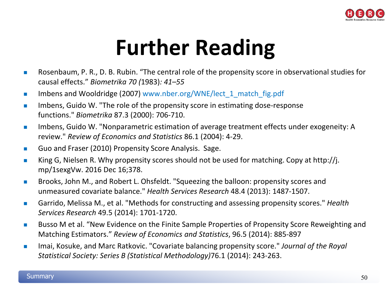

## **Further Reading**

- Rosenbaum, P. R., D. B. Rubin. "The central role of the propensity score in observational studies for causal effects." *Biometrika 70 (*1983)*: 41–55*
- Imbens and Wooldridge (2007) www.nber.org/WNE/lect\_1\_match\_fig.pdf  $\blacksquare$
- Imbens, Guido W. "The role of the propensity score in estimating dose-response functions." *Biometrika* 87.3 (2000): 706-710. п
- Imbens, Guido W. "Nonparametric estimation of average treatment effects under exogeneity: A review." *Review of Economics and Statistics* 86.1 (2004): 4-29. п
- Guo and Fraser (2010) Propensity Score Analysis. Sage.  $\mathcal{L}^{\mathcal{L}}$
- King G, Nielsen R. Why propensity scores should not be used for matching. Copy at http://j. mp/1sexgVw. 2016 Dec 16;378.  $\mathcal{L}_{\mathcal{A}}$
- Brooks, John M., and Robert L. Ohsfeldt. "Squeezing the balloon: propensity scores and unmeasured covariate balance." *Health Services Research* 48.4 (2013): 1487-1507.  $\overline{\phantom{a}}$
- Garrido, Melissa M., et al. "Methods for constructing and assessing propensity scores." *Health Services Research* 49.5 (2014): 1701-1720. **TI**
- Busso M et al. "New Evidence on the Finite Sample Properties of Propensity Score Reweighting and Matching Estimators." *Review of Economics and Statistics*, 96.5 (2014): 885-897  $\sim$
- Imai, Kosuke, and Marc Ratkovic. "Covariate balancing propensity score." *Journal of the Royal Statistical Society: Series B (Statistical Methodology)*76.1 (2014): 243-263.  $\overline{\phantom{a}}$